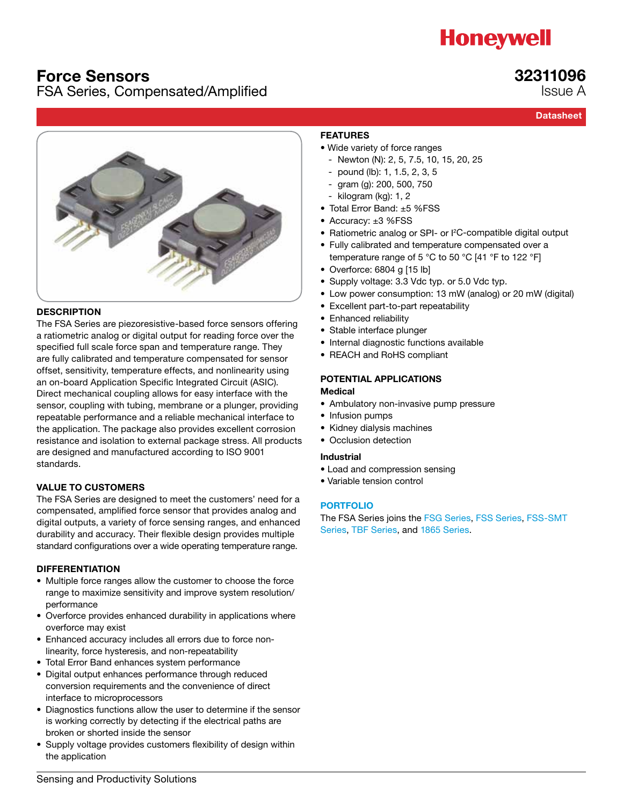# **Honeywell**

# Force Sensors

# FSA Series, Compensated/Amplified

# **Datasheet**

32311096 Issue A



### **DESCRIPTION**

The FSA Series are piezoresistive-based force sensors offering a ratiometric analog or digital output for reading force over the specified full scale force span and temperature range. They are fully calibrated and temperature compensated for sensor offset, sensitivity, temperature effects, and nonlinearity using an on-board Application Specific Integrated Circuit (ASIC). Direct mechanical coupling allows for easy interface with the sensor, coupling with tubing, membrane or a plunger, providing repeatable performance and a reliable mechanical interface to the application. The package also provides excellent corrosion resistance and isolation to external package stress. All products are designed and manufactured according to ISO 9001 standards.

### VALUE TO CUSTOMERS

The FSA Series are designed to meet the customers' need for a compensated, amplified force sensor that provides analog and digital outputs, a variety of force sensing ranges, and enhanced durability and accuracy. Their flexible design provides multiple standard configurations over a wide operating temperature range.

### DIFFERENTIATION

- Multiple force ranges allow the customer to choose the force range to maximize sensitivity and improve system resolution/ performance
- Overforce provides enhanced durability in applications where overforce may exist
- Enhanced accuracy includes all errors due to force nonlinearity, force hysteresis, and non-repeatability
- Total Error Band enhances system performance
- Digital output enhances performance through reduced conversion requirements and the convenience of direct interface to microprocessors
- Diagnostics functions allow the user to determine if the sensor is working correctly by detecting if the electrical paths are broken or shorted inside the sensor
- Supply voltage provides customers flexibility of design within the application

# FEATURES

- Wide variety of force ranges
	- Newton (N): 2, 5, 7.5, 10, 15, 20, 25
	- pound (lb): 1, 1.5, 2, 3, 5
	- gram (g): 200, 500, 750
- kilogram (kg): 1, 2
- Total Error Band: ±5 %FSS
- Accuracy: ±3 %FSS
- Ratiometric analog or SPI- or I<sup>2</sup>C-compatible digital output
- Fully calibrated and temperature compensated over a temperature range of 5 °C to 50 °C [41 °F to 122 °F]
- Overforce: 6804 g [15 lb]
- Supply voltage: 3.3 Vdc typ. or 5.0 Vdc typ.
- Low power consumption: 13 mW (analog) or 20 mW (digital)
- Excellent part-to-part repeatability
- Enhanced reliability
- Stable interface plunger
- Internal diagnostic functions available
- REACH and RoHS compliant

## POTENTIAL APPLICATIONS

### Medical

- Ambulatory non-invasive pump pressure
- Infusion pumps
- Kidney dialysis machines
- Occlusion detection

#### Industrial

- Load and compression sensing
- Variable tension control

### [PORTFOLIO](http://sensing.honeywell.com/index.php?ci_id=54929)

The FSA Series joins the [FSG Series,](http://sensing.honeywell.com/index.php?ci_id=50136) [FSS Series,](http://sensing.honeywell.com/index.php?ci_id=50137) [FSS-SMT](http://sensing.honeywell.com/index.php?ci_id=44994)  [Series,](http://sensing.honeywell.com/index.php?ci_id=44994) TB[F Series](http://sensing.honeywell.com/index.php?ci_id=158416), and [1865 Series](http://sensing.honeywell.com/index.php?ci_id=142423).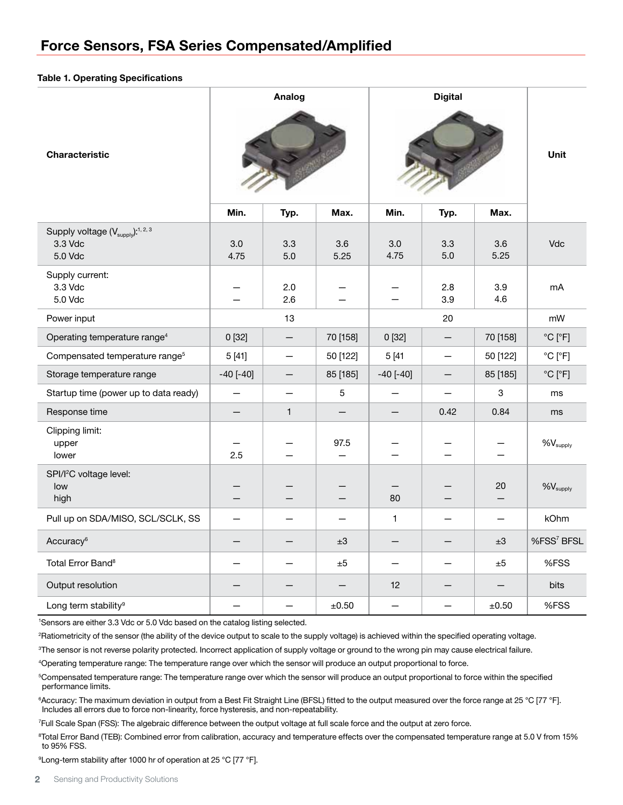#### Table 1. Operating Specifications

| <b>Characteristic</b>                                                           | Analog                   |                          | <b>Digital</b> |               |              | Unit                     |                              |
|---------------------------------------------------------------------------------|--------------------------|--------------------------|----------------|---------------|--------------|--------------------------|------------------------------|
|                                                                                 | Min.                     | Typ.                     | Max.           | Min.          | Typ.         | Max.                     |                              |
| Supply voltage (V <sub>supply</sub> ): <sup>1, 2, 3</sup><br>3.3 Vdc<br>5.0 Vdc | 3.0<br>4.75              | 3.3<br>$5.0\,$           | 3.6<br>5.25    | 3.0<br>4.75   | 3.3<br>$5.0$ | 3.6<br>5.25              | Vdc                          |
| Supply current:<br>3.3 Vdc<br>5.0 Vdc                                           |                          | 2.0<br>2.6               |                |               | 2.8<br>3.9   | 3.9<br>4.6               | m <sub>A</sub>               |
| Power input                                                                     |                          | 13                       |                | 20            |              |                          | mW                           |
| Operating temperature range <sup>4</sup>                                        | 0[32]                    | —                        | 70 [158]       | 0[32]         | —            | 70 [158]                 | $^{\circ}$ C $[^{\circ}$ F]  |
| Compensated temperature range <sup>5</sup>                                      | 5[41]                    | —                        | 50 [122]       | 5[41]         |              | 50 [122]                 | $^{\circ}$ C [ $^{\circ}$ F] |
| Storage temperature range                                                       | $-40$ $[-40]$            | $\overline{\phantom{0}}$ | 85 [185]       | $-40$ $[-40]$ | $-$          | 85 [185]                 | $^{\circ}$ C [ $^{\circ}$ F] |
| Startup time (power up to data ready)                                           | $\overline{\phantom{0}}$ |                          | 5              |               |              | 3                        | ms                           |
| Response time                                                                   |                          | $\mathbf{1}$             |                |               | 0.42         | 0.84                     | ms                           |
| Clipping limit:<br>upper<br>lower                                               | 2.5                      |                          | 97.5           |               |              |                          | $%V_{supply}$                |
| SPI/I <sup>2</sup> C voltage level:<br>low<br>high                              | —                        |                          |                | 80            |              | 20<br>—                  | $%V_{supply}$                |
| Pull up on SDA/MISO, SCL/SCLK, SS                                               | $\overline{\phantom{0}}$ |                          |                | 1             |              | $\overline{\phantom{m}}$ | kOhm                         |
| Accuracy <sup>6</sup>                                                           |                          |                          | ±3             | —             |              | ±3                       | %FSS <sup>7</sup> BFSL       |
| Total Error Band <sup>8</sup>                                                   |                          |                          | ±5             |               |              | ±5                       | %FSS                         |
| Output resolution                                                               |                          |                          | —              | 12            |              | —                        | bits                         |
| Long term stability <sup>9</sup>                                                |                          |                          | ±0.50          |               |              | $\pm 0.50$               | %FSS                         |

1 Sensors are either 3.3 Vdc or 5.0 Vdc based on the catalog listing selected.

2 Ratiometricity of the sensor (the ability of the device output to scale to the supply voltage) is achieved within the specified operating voltage.

3 The sensor is not reverse polarity protected. Incorrect application of supply voltage or ground to the wrong pin may cause electrical failure.

4 Operating temperature range: The temperature range over which the sensor will produce an output proportional to force.

5 Compensated temperature range: The temperature range over which the sensor will produce an output proportional to force within the specified performance limits.

<sup>6</sup>Accuracy: The maximum deviation in output from a Best Fit Straight Line (BFSL) fitted to the output measured over the force range at 25 °C [77 °F]. Includes all errors due to force non-linearity, force hysteresis, and non-repeatability.

7 Full Scale Span (FSS): The algebraic difference between the output voltage at full scale force and the output at zero force.

8 Total Error Band (TEB): Combined error from calibration, accuracy and temperature effects over the compensated temperature range at 5.0 V from 15% to 95% FSS.

9 Long-term stability after 1000 hr of operation at 25 °C [77 °F].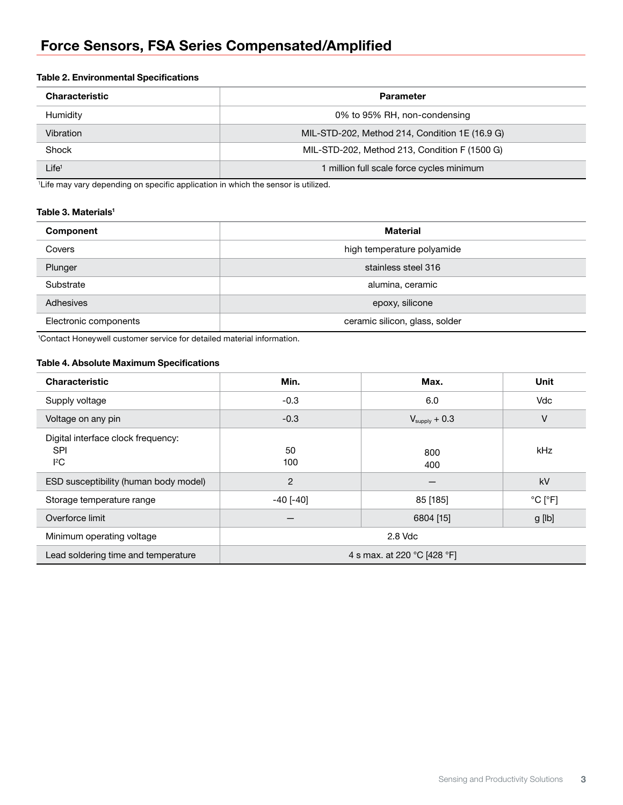### Table 2. Environmental Specifications

| <b>Characteristic</b> | <b>Parameter</b>                               |  |  |
|-----------------------|------------------------------------------------|--|--|
| Humidity              | 0% to 95% RH, non-condensing                   |  |  |
| Vibration             | MIL-STD-202, Method 214, Condition 1E (16.9 G) |  |  |
| Shock                 | MIL-STD-202, Method 213, Condition F (1500 G)  |  |  |
| $\mathsf{Life}^1$     | 1 million full scale force cycles minimum      |  |  |

<sup>1</sup> Life may vary depending on specific application in which the sensor is utilized.

## Table 3. Materials<sup>1</sup>

| Component             | <b>Material</b>                |  |  |
|-----------------------|--------------------------------|--|--|
| Covers                | high temperature polyamide     |  |  |
| Plunger               | stainless steel 316            |  |  |
| Substrate             | alumina, ceramic               |  |  |
| Adhesives             | epoxy, silicone                |  |  |
| Electronic components | ceramic silicon, glass, solder |  |  |

1 Contact Honeywell customer service for detailed material information.

## Table 4. Absolute Maximum Specifications

| <b>Characteristic</b>                                          | Min.                        | Max.                      | Unit                         |  |
|----------------------------------------------------------------|-----------------------------|---------------------------|------------------------------|--|
| Supply voltage                                                 | $-0.3$                      | 6.0                       | Vdc                          |  |
| Voltage on any pin                                             | $-0.3$                      | $V_{\text{supply}} + 0.3$ | ٧                            |  |
| Digital interface clock frequency:<br><b>SPI</b><br>${}^{12}C$ | 50<br>100                   | 800<br>400                | kHz                          |  |
| ESD susceptibility (human body model)                          | $\overline{2}$              |                           | kV                           |  |
| Storage temperature range                                      | $-40$ [ $-40$ ]             | 85 [185]                  | $^{\circ}$ C [ $^{\circ}$ F] |  |
| Overforce limit                                                |                             | 6804 [15]                 | g [lb]                       |  |
| Minimum operating voltage                                      | 2.8 Vdc                     |                           |                              |  |
| Lead soldering time and temperature                            | 4 s max. at 220 °C [428 °F] |                           |                              |  |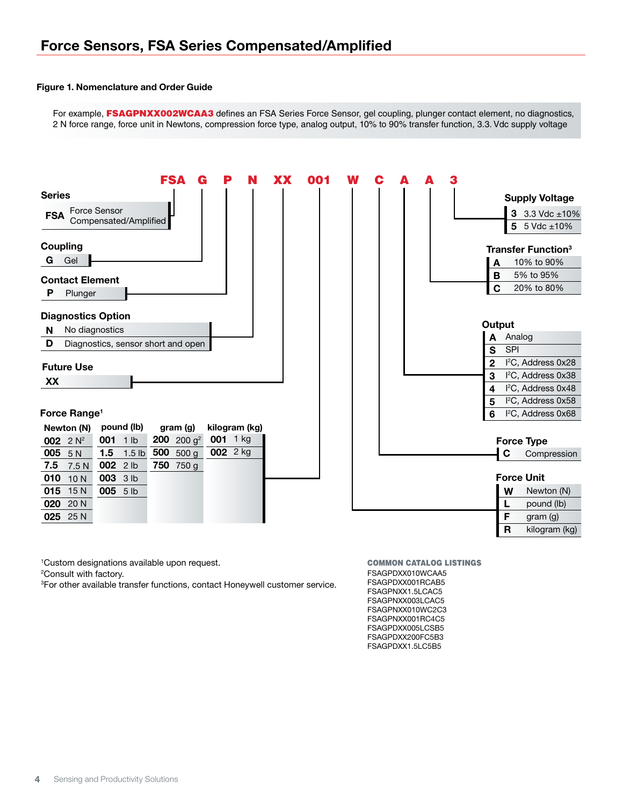#### Figure 1. Nomenclature and Order Guide

For example, FSAGPNXX002WCAA3 defines an FSA Series Force Sensor, gel coupling, plunger contact element, no diagnostics, 2 N force range, force unit in Newtons, compression force type, analog output, 10% to 90% transfer function, 3.3. Vdc supply voltage



1 Custom designations available upon request.

2 Consult with factory.

3 For other available transfer functions, contact Honeywell customer service.

FSAGPDXX010WCAA5 FSAGPDXX001RCAB5 FSAGPNXX1.5LCAC5 FSAGPNXX003LCAC5 FSAGPNXX010WC2C3 FSAGPNXX001RC4C5 FSAGPDXX005LCSB5 FSAGPDXX200FC5B3 FSAGPDXX1.5LC5B5 COMMON CATALOG LISTINGS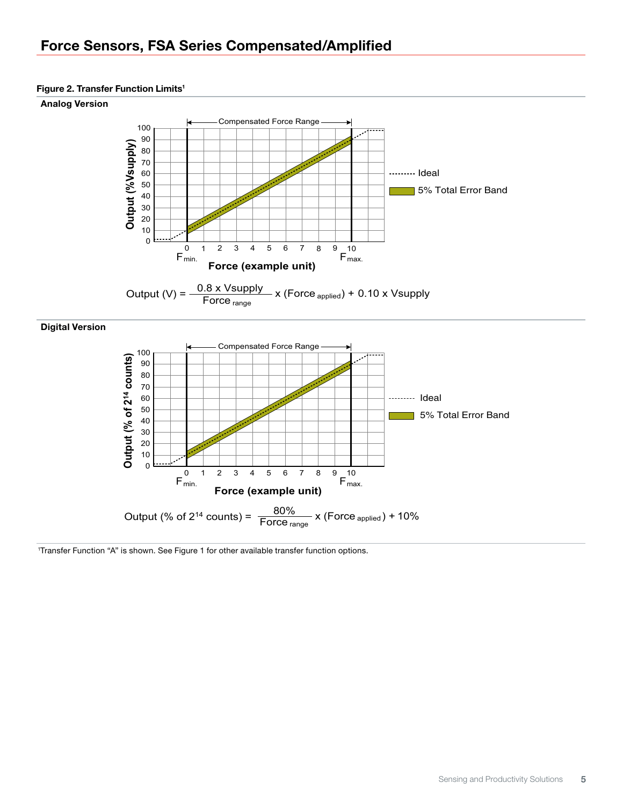# Force Sensors, FSA Series Compensated/Amplified

### Figure 2. Transfer Function Limits<sup>1</sup>

#### Analog Version





#### Digital Version



1 Transfer Function "A" is shown. See Figure 1 for other available transfer function options.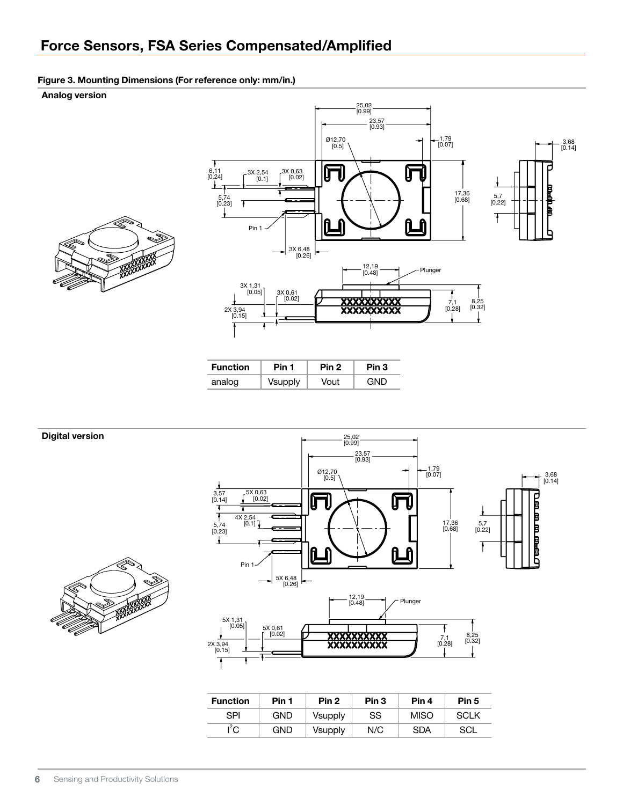# Force Sensors, FSA Series Compensated/Amplified

#### Figure 3. Mounting Dimensions (For reference only: mm/in.)

Analog version





| <b>Function</b> | Pin 1   |      | Pin 3 |  |
|-----------------|---------|------|-------|--|
| analog          | Vsupply | Vout | GND   |  |



| <b>Function</b> | Pin 1 | Pin <sub>2</sub> | Pin <sub>3</sub> | Pin 4       | Pin 5       |
|-----------------|-------|------------------|------------------|-------------|-------------|
| SPI             | GND   | <b>Vsupply</b>   | SS               | <b>MISO</b> | <b>SCLK</b> |
| $I^2C$          | GND   | <b>Vsupply</b>   | N/C              | <b>SDA</b>  | SCL         |

**6** Sensing and Productivity Solutions